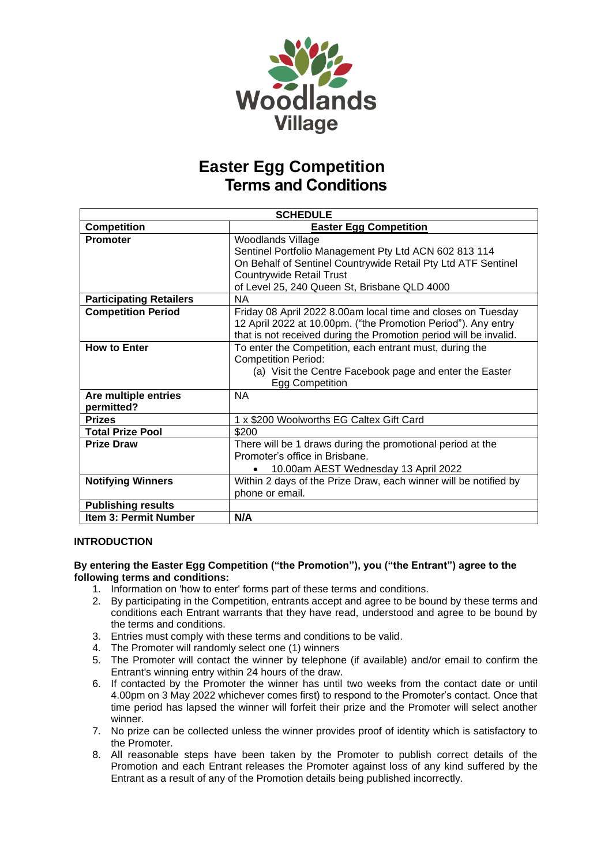

| <b>SCHEDULE</b>                |                                                                   |
|--------------------------------|-------------------------------------------------------------------|
| <b>Competition</b>             | <b>Easter Egg Competition</b>                                     |
| <b>Promoter</b>                | <b>Woodlands Village</b>                                          |
|                                | Sentinel Portfolio Management Pty Ltd ACN 602 813 114             |
|                                | On Behalf of Sentinel Countrywide Retail Pty Ltd ATF Sentinel     |
|                                | <b>Countrywide Retail Trust</b>                                   |
|                                | of Level 25, 240 Queen St, Brisbane QLD 4000                      |
| <b>Participating Retailers</b> | <b>NA</b>                                                         |
| <b>Competition Period</b>      | Friday 08 April 2022 8.00am local time and closes on Tuesday      |
|                                | 12 April 2022 at 10.00pm. ("the Promotion Period"). Any entry     |
|                                | that is not received during the Promotion period will be invalid. |
| <b>How to Enter</b>            | To enter the Competition, each entrant must, during the           |
|                                | <b>Competition Period:</b>                                        |
|                                | (a) Visit the Centre Facebook page and enter the Easter           |
|                                | Egg Competition                                                   |
| Are multiple entries           | <b>NA</b>                                                         |
| permitted?                     |                                                                   |
| <b>Prizes</b>                  | 1 x \$200 Woolworths EG Caltex Gift Card                          |
| <b>Total Prize Pool</b>        | \$200                                                             |
| <b>Prize Draw</b>              | There will be 1 draws during the promotional period at the        |
|                                | Promoter's office in Brisbane.                                    |
|                                | 10.00am AEST Wednesday 13 April 2022                              |
| <b>Notifying Winners</b>       | Within 2 days of the Prize Draw, each winner will be notified by  |
|                                | phone or email.                                                   |
| <b>Publishing results</b>      |                                                                   |
| Item 3: Permit Number          | N/A                                                               |

### **INTRODUCTION**

#### **By entering the Easter Egg Competition ("the Promotion"), you ("the Entrant") agree to the following terms and conditions:**

- 1. Information on 'how to enter' forms part of these terms and conditions.
- 2. By participating in the Competition, entrants accept and agree to be bound by these terms and conditions each Entrant warrants that they have read, understood and agree to be bound by the terms and conditions.
- 3. Entries must comply with these terms and conditions to be valid.
- 4. The Promoter will randomly select one (1) winners
- 5. The Promoter will contact the winner by telephone (if available) and/or email to confirm the Entrant's winning entry within 24 hours of the draw.
- 6. If contacted by the Promoter the winner has until two weeks from the contact date or until 4.00pm on 3 May 2022 whichever comes first) to respond to the Promoter's contact. Once that time period has lapsed the winner will forfeit their prize and the Promoter will select another winner.
- 7. No prize can be collected unless the winner provides proof of identity which is satisfactory to the Promoter.
- 8. All reasonable steps have been taken by the Promoter to publish correct details of the Promotion and each Entrant releases the Promoter against loss of any kind suffered by the Entrant as a result of any of the Promotion details being published incorrectly.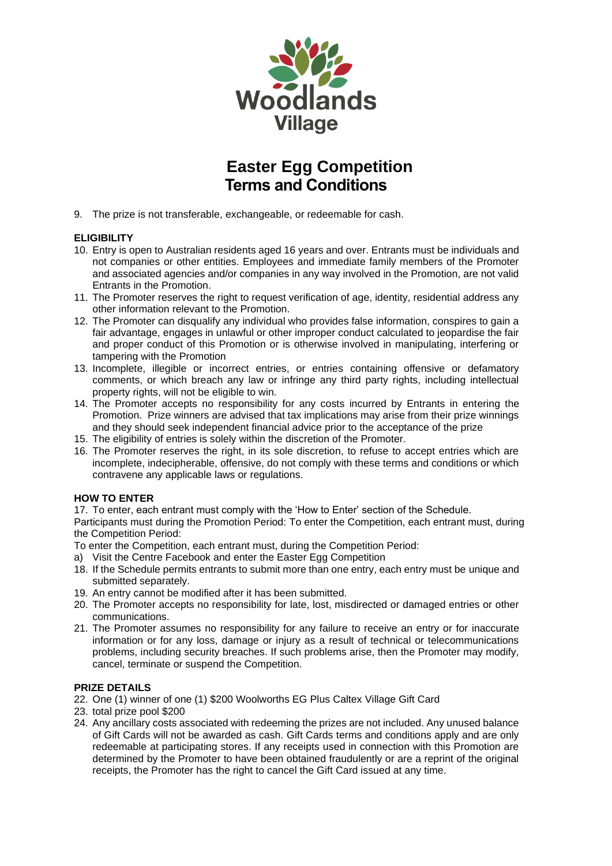

9. The prize is not transferable, exchangeable, or redeemable for cash.

### **ELIGIBILITY**

- 10. Entry is open to Australian residents aged 16 years and over. Entrants must be individuals and not companies or other entities. Employees and immediate family members of the Promoter and associated agencies and/or companies in any way involved in the Promotion, are not valid Entrants in the Promotion.
- 11. The Promoter reserves the right to request verification of age, identity, residential address any other information relevant to the Promotion.
- 12. The Promoter can disqualify any individual who provides false information, conspires to gain a fair advantage, engages in unlawful or other improper conduct calculated to jeopardise the fair and proper conduct of this Promotion or is otherwise involved in manipulating, interfering or tampering with the Promotion
- 13. Incomplete, illegible or incorrect entries, or entries containing offensive or defamatory comments, or which breach any law or infringe any third party rights, including intellectual property rights, will not be eligible to win.
- 14. The Promoter accepts no responsibility for any costs incurred by Entrants in entering the Promotion. Prize winners are advised that tax implications may arise from their prize winnings and they should seek independent financial advice prior to the acceptance of the prize
- 15. The eligibility of entries is solely within the discretion of the Promoter.
- 16. The Promoter reserves the right, in its sole discretion, to refuse to accept entries which are incomplete, indecipherable, offensive, do not comply with these terms and conditions or which contravene any applicable laws or regulations.

### **HOW TO ENTER**

17. To enter, each entrant must comply with the 'How to Enter' section of the Schedule.

Participants must during the Promotion Period: To enter the Competition, each entrant must, during the Competition Period:

To enter the Competition, each entrant must, during the Competition Period:

- a) Visit the Centre Facebook and enter the Easter Egg Competition
- 18. If the Schedule permits entrants to submit more than one entry, each entry must be unique and submitted separately.
- 19. An entry cannot be modified after it has been submitted.
- 20. The Promoter accepts no responsibility for late, lost, misdirected or damaged entries or other communications.
- 21. The Promoter assumes no responsibility for any failure to receive an entry or for inaccurate information or for any loss, damage or injury as a result of technical or telecommunications problems, including security breaches. If such problems arise, then the Promoter may modify, cancel, terminate or suspend the Competition.

### **PRIZE DETAILS**

- 22. One (1) winner of one (1) \$200 Woolworths EG Plus Caltex Village Gift Card
- 23. total prize pool \$200
- 24. Any ancillary costs associated with redeeming the prizes are not included. Any unused balance of Gift Cards will not be awarded as cash. Gift Cards terms and conditions apply and are only redeemable at participating stores. If any receipts used in connection with this Promotion are determined by the Promoter to have been obtained fraudulently or are a reprint of the original receipts, the Promoter has the right to cancel the Gift Card issued at any time.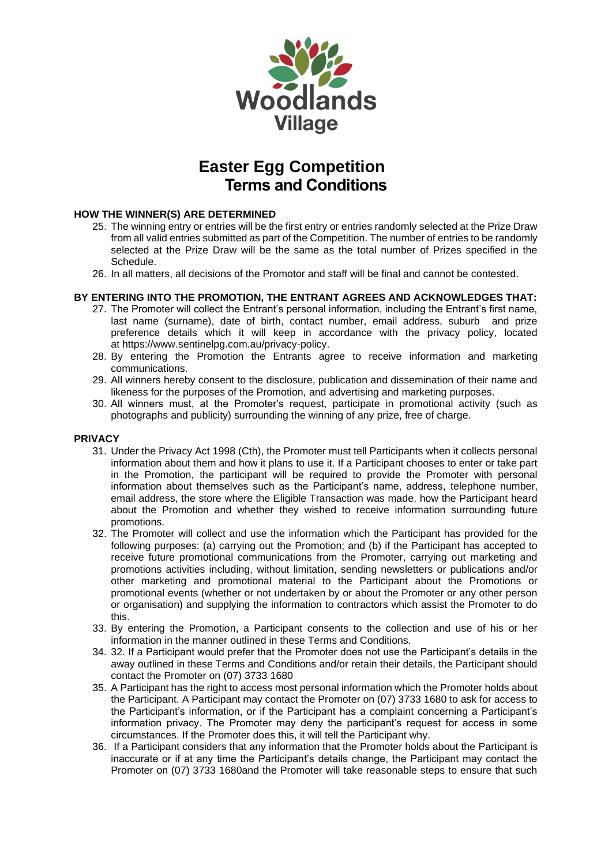

#### **HOW THE WINNER(S) ARE DETERMINED**

- 25. The winning entry or entries will be the first entry or entries randomly selected at the Prize Draw from all valid entries submitted as part of the Competition. The number of entries to be randomly selected at the Prize Draw will be the same as the total number of Prizes specified in the Schedule.
- 26. In all matters, all decisions of the Promotor and staff will be final and cannot be contested.

#### **BY ENTERING INTO THE PROMOTION, THE ENTRANT AGREES AND ACKNOWLEDGES THAT:**

- 27. The Promoter will collect the Entrant's personal information, including the Entrant's first name, last name (surname), date of birth, contact number, email address, suburb and prize preference details which it will keep in accordance with the privacy policy, located at [https://www.sentinelpg.com.au/privacy-policy.](https://www.sentinelpg.com.au/privacy-policy)
- 28. By entering the Promotion the Entrants agree to receive information and marketing communications.
- 29. All winners hereby consent to the disclosure, publication and dissemination of their name and likeness for the purposes of the Promotion, and advertising and marketing purposes.
- 30. All winners must, at the Promoter's request, participate in promotional activity (such as photographs and publicity) surrounding the winning of any prize, free of charge.

#### **PRIVACY**

- 31. Under the Privacy Act 1998 (Cth), the Promoter must tell Participants when it collects personal information about them and how it plans to use it. If a Participant chooses to enter or take part in the Promotion, the participant will be required to provide the Promoter with personal information about themselves such as the Participant's name, address, telephone number, email address, the store where the Eligible Transaction was made, how the Participant heard about the Promotion and whether they wished to receive information surrounding future promotions.
- 32. The Promoter will collect and use the information which the Participant has provided for the following purposes: (a) carrying out the Promotion; and (b) if the Participant has accepted to receive future promotional communications from the Promoter, carrying out marketing and promotions activities including, without limitation, sending newsletters or publications and/or other marketing and promotional material to the Participant about the Promotions or promotional events (whether or not undertaken by or about the Promoter or any other person or organisation) and supplying the information to contractors which assist the Promoter to do this.
- 33. By entering the Promotion, a Participant consents to the collection and use of his or her information in the manner outlined in these Terms and Conditions.
- 34. 32. If a Participant would prefer that the Promoter does not use the Participant's details in the away outlined in these Terms and Conditions and/or retain their details, the Participant should contact the Promoter on (07) 3733 1680
- 35. A Participant has the right to access most personal information which the Promoter holds about the Participant. A Participant may contact the Promoter on (07) 3733 1680 to ask for access to the Participant's information, or if the Participant has a complaint concerning a Participant's information privacy. The Promoter may deny the participant's request for access in some circumstances. If the Promoter does this, it will tell the Participant why.
- 36. If a Participant considers that any information that the Promoter holds about the Participant is inaccurate or if at any time the Participant's details change, the Participant may contact the Promoter on (07) 3733 1680and the Promoter will take reasonable steps to ensure that such